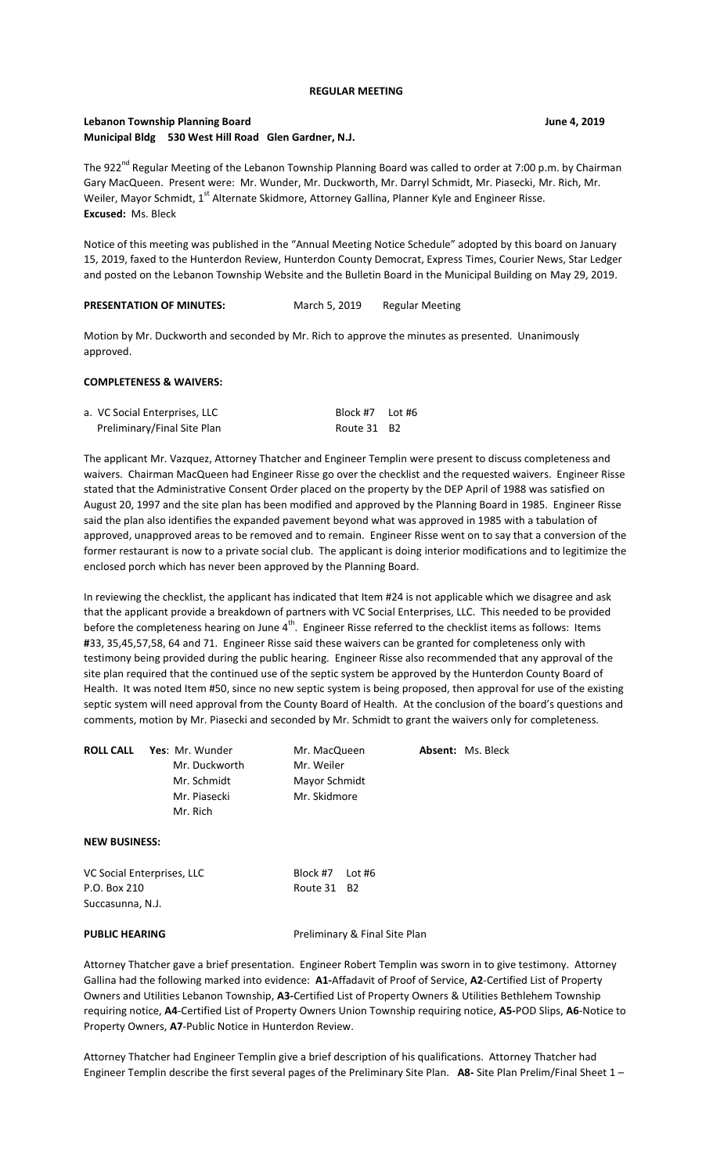#### **REGULAR MEETING**

## **Lebanon Township Planning Board June 4, 2019 Municipal Bldg 530 West Hill Road Glen Gardner, N.J.**

The 922<sup>nd</sup> Regular Meeting of the Lebanon Township Planning Board was called to order at 7:00 p.m. by Chairman Gary MacQueen. Present were: Mr. Wunder, Mr. Duckworth, Mr. Darryl Schmidt, Mr. Piasecki, Mr. Rich, Mr. Weiler, Mayor Schmidt, 1<sup>st</sup> Alternate Skidmore, Attorney Gallina, Planner Kyle and Engineer Risse. **Excused:** Ms. Bleck

Notice of this meeting was published in the "Annual Meeting Notice Schedule" adopted by this board on January 15, 2019, faxed to the Hunterdon Review, Hunterdon County Democrat, Express Times, Courier News, Star Ledger and posted on the Lebanon Township Website and the Bulletin Board in the Municipal Building on May 29, 2019.

| <b>PRESENTATION OF MINUTES:</b> | March 5, 2019 | Regular Meeting |  |
|---------------------------------|---------------|-----------------|--|
|---------------------------------|---------------|-----------------|--|

Motion by Mr. Duckworth and seconded by Mr. Rich to approve the minutes as presented. Unanimously approved.

#### **COMPLETENESS & WAIVERS:**

| a. VC Social Enterprises, LLC | Block #7 Lot #6 |  |
|-------------------------------|-----------------|--|
| Preliminary/Final Site Plan   | Route 31 B2     |  |

The applicant Mr. Vazquez, Attorney Thatcher and Engineer Templin were present to discuss completeness and waivers. Chairman MacQueen had Engineer Risse go over the checklist and the requested waivers. Engineer Risse stated that the Administrative Consent Order placed on the property by the DEP April of 1988 was satisfied on August 20, 1997 and the site plan has been modified and approved by the Planning Board in 1985. Engineer Risse said the plan also identifies the expanded pavement beyond what was approved in 1985 with a tabulation of approved, unapproved areas to be removed and to remain. Engineer Risse went on to say that a conversion of the former restaurant is now to a private social club. The applicant is doing interior modifications and to legitimize the enclosed porch which has never been approved by the Planning Board.

In reviewing the checklist, the applicant has indicated that Item #24 is not applicable which we disagree and ask that the applicant provide a breakdown of partners with VC Social Enterprises, LLC. This needed to be provided before the completeness hearing on June 4<sup>th</sup>. Engineer Risse referred to the checklist items as follows: Items **#**33, 35,45,57,58, 64 and 71. Engineer Risse said these waivers can be granted for completeness only with testimony being provided during the public hearing. Engineer Risse also recommended that any approval of the site plan required that the continued use of the septic system be approved by the Hunterdon County Board of Health. It was noted Item #50, since no new septic system is being proposed, then approval for use of the existing septic system will need approval from the County Board of Health. At the conclusion of the board's questions and comments, motion by Mr. Piasecki and seconded by Mr. Schmidt to grant the waivers only for completeness.

| <b>ROLL CALL</b> | <b>Yes</b> : Mr. Wunder | Mr. MacQueen  | <b>Absent: Ms. Bleck</b> |
|------------------|-------------------------|---------------|--------------------------|
|                  | Mr. Duckworth           | Mr. Weiler    |                          |
|                  | Mr. Schmidt             | Mayor Schmidt |                          |
|                  | Mr. Piasecki            | Mr. Skidmore  |                          |
|                  | Mr. Rich                |               |                          |
|                  |                         |               |                          |

# **NEW BUSINESS:**

| VC Social Enterprises, LLC | Block #7 Lot #6 |  |
|----------------------------|-----------------|--|
| P.O. Box 210               | Route 31 B2     |  |
| Succasunna, N.J.           |                 |  |

**PUBLIC HEARING** Preliminary & Final Site Plan

Attorney Thatcher gave a brief presentation. Engineer Robert Templin was sworn in to give testimony. Attorney Gallina had the following marked into evidence: **A1-**Affadavit of Proof of Service, **A2**-Certified List of Property Owners and Utilities Lebanon Township, **A3-**Certified List of Property Owners & Utilities Bethlehem Township requiring notice, **A4**-Certified List of Property Owners Union Township requiring notice, **A5-**POD Slips, **A6**-Notice to Property Owners, **A7**-Public Notice in Hunterdon Review.

Attorney Thatcher had Engineer Templin give a brief description of his qualifications. Attorney Thatcher had Engineer Templin describe the first several pages of the Preliminary Site Plan. **A8-** Site Plan Prelim/Final Sheet 1 –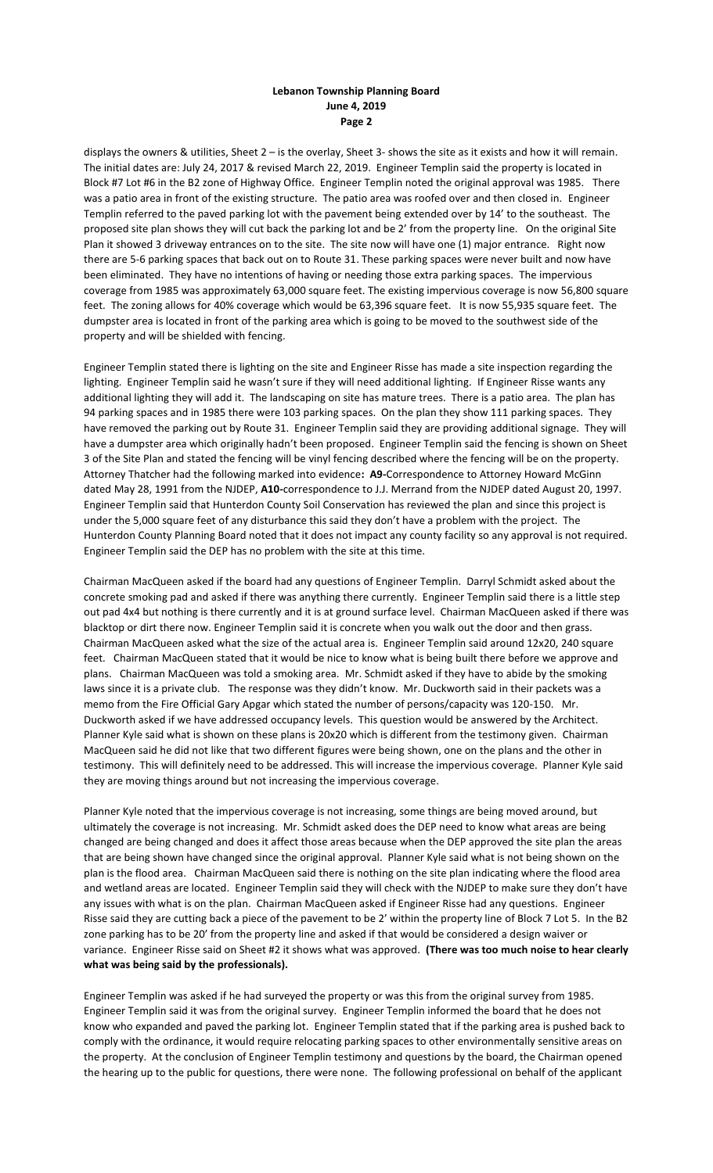# **Lebanon Township Planning Board June 4, 2019 Page 2**

displays the owners & utilities, Sheet 2 – is the overlay, Sheet 3- shows the site as it exists and how it will remain. The initial dates are: July 24, 2017 & revised March 22, 2019. Engineer Templin said the property is located in Block #7 Lot #6 in the B2 zone of Highway Office. Engineer Templin noted the original approval was 1985. There was a patio area in front of the existing structure. The patio area was roofed over and then closed in. Engineer Templin referred to the paved parking lot with the pavement being extended over by 14' to the southeast. The proposed site plan shows they will cut back the parking lot and be 2' from the property line. On the original Site Plan it showed 3 driveway entrances on to the site. The site now will have one (1) major entrance. Right now there are 5-6 parking spaces that back out on to Route 31. These parking spaces were never built and now have been eliminated. They have no intentions of having or needing those extra parking spaces. The impervious coverage from 1985 was approximately 63,000 square feet. The existing impervious coverage is now 56,800 square feet. The zoning allows for 40% coverage which would be 63,396 square feet. It is now 55,935 square feet. The dumpster area is located in front of the parking area which is going to be moved to the southwest side of the property and will be shielded with fencing.

Engineer Templin stated there is lighting on the site and Engineer Risse has made a site inspection regarding the lighting. Engineer Templin said he wasn't sure if they will need additional lighting. If Engineer Risse wants any additional lighting they will add it. The landscaping on site has mature trees. There is a patio area. The plan has 94 parking spaces and in 1985 there were 103 parking spaces. On the plan they show 111 parking spaces. They have removed the parking out by Route 31. Engineer Templin said they are providing additional signage. They will have a dumpster area which originally hadn't been proposed. Engineer Templin said the fencing is shown on Sheet 3 of the Site Plan and stated the fencing will be vinyl fencing described where the fencing will be on the property. Attorney Thatcher had the following marked into evidence**: A9-**Correspondence to Attorney Howard McGinn dated May 28, 1991 from the NJDEP, **A10-**correspondence to J.J. Merrand from the NJDEP dated August 20, 1997. Engineer Templin said that Hunterdon County Soil Conservation has reviewed the plan and since this project is under the 5,000 square feet of any disturbance this said they don't have a problem with the project. The Hunterdon County Planning Board noted that it does not impact any county facility so any approval is not required. Engineer Templin said the DEP has no problem with the site at this time.

Chairman MacQueen asked if the board had any questions of Engineer Templin. Darryl Schmidt asked about the concrete smoking pad and asked if there was anything there currently. Engineer Templin said there is a little step out pad 4x4 but nothing is there currently and it is at ground surface level. Chairman MacQueen asked if there was blacktop or dirt there now. Engineer Templin said it is concrete when you walk out the door and then grass. Chairman MacQueen asked what the size of the actual area is. Engineer Templin said around 12x20, 240 square feet. Chairman MacQueen stated that it would be nice to know what is being built there before we approve and plans. Chairman MacQueen was told a smoking area. Mr. Schmidt asked if they have to abide by the smoking laws since it is a private club. The response was they didn't know. Mr. Duckworth said in their packets was a memo from the Fire Official Gary Apgar which stated the number of persons/capacity was 120-150. Mr. Duckworth asked if we have addressed occupancy levels. This question would be answered by the Architect. Planner Kyle said what is shown on these plans is 20x20 which is different from the testimony given. Chairman MacQueen said he did not like that two different figures were being shown, one on the plans and the other in testimony. This will definitely need to be addressed. This will increase the impervious coverage. Planner Kyle said they are moving things around but not increasing the impervious coverage.

Planner Kyle noted that the impervious coverage is not increasing, some things are being moved around, but ultimately the coverage is not increasing. Mr. Schmidt asked does the DEP need to know what areas are being changed are being changed and does it affect those areas because when the DEP approved the site plan the areas that are being shown have changed since the original approval. Planner Kyle said what is not being shown on the plan is the flood area. Chairman MacQueen said there is nothing on the site plan indicating where the flood area and wetland areas are located. Engineer Templin said they will check with the NJDEP to make sure they don't have any issues with what is on the plan. Chairman MacQueen asked if Engineer Risse had any questions. Engineer Risse said they are cutting back a piece of the pavement to be 2' within the property line of Block 7 Lot 5. In the B2 zone parking has to be 20' from the property line and asked if that would be considered a design waiver or variance. Engineer Risse said on Sheet #2 it shows what was approved. **(There was too much noise to hear clearly what was being said by the professionals).**

Engineer Templin was asked if he had surveyed the property or was this from the original survey from 1985. Engineer Templin said it was from the original survey. Engineer Templin informed the board that he does not know who expanded and paved the parking lot. Engineer Templin stated that if the parking area is pushed back to comply with the ordinance, it would require relocating parking spaces to other environmentally sensitive areas on the property. At the conclusion of Engineer Templin testimony and questions by the board, the Chairman opened the hearing up to the public for questions, there were none. The following professional on behalf of the applicant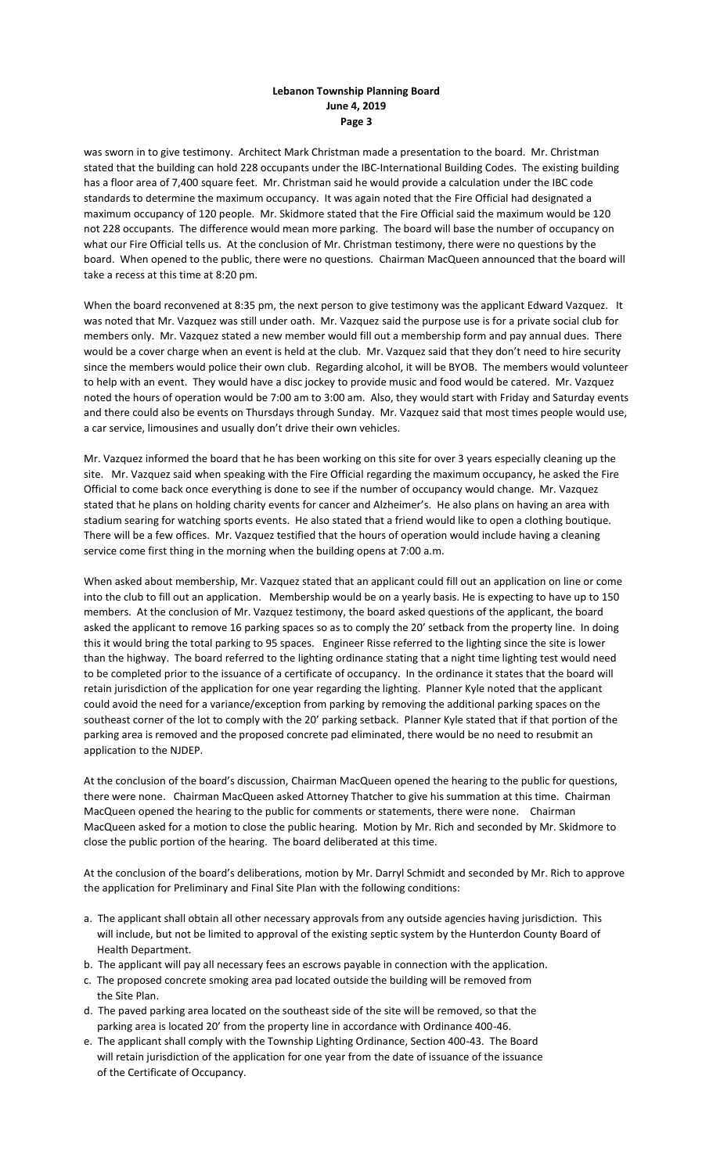# **Lebanon Township Planning Board June 4, 2019 Page 3**

was sworn in to give testimony. Architect Mark Christman made a presentation to the board. Mr. Christman stated that the building can hold 228 occupants under the IBC-International Building Codes. The existing building has a floor area of 7,400 square feet. Mr. Christman said he would provide a calculation under the IBC code standards to determine the maximum occupancy. It was again noted that the Fire Official had designated a maximum occupancy of 120 people. Mr. Skidmore stated that the Fire Official said the maximum would be 120 not 228 occupants. The difference would mean more parking. The board will base the number of occupancy on what our Fire Official tells us. At the conclusion of Mr. Christman testimony, there were no questions by the board. When opened to the public, there were no questions. Chairman MacQueen announced that the board will take a recess at this time at 8:20 pm.

When the board reconvened at 8:35 pm, the next person to give testimony was the applicant Edward Vazquez. It was noted that Mr. Vazquez was still under oath. Mr. Vazquez said the purpose use is for a private social club for members only. Mr. Vazquez stated a new member would fill out a membership form and pay annual dues. There would be a cover charge when an event is held at the club. Mr. Vazquez said that they don't need to hire security since the members would police their own club. Regarding alcohol, it will be BYOB. The members would volunteer to help with an event. They would have a disc jockey to provide music and food would be catered. Mr. Vazquez noted the hours of operation would be 7:00 am to 3:00 am. Also, they would start with Friday and Saturday events and there could also be events on Thursdays through Sunday. Mr. Vazquez said that most times people would use, a car service, limousines and usually don't drive their own vehicles.

Mr. Vazquez informed the board that he has been working on this site for over 3 years especially cleaning up the site. Mr. Vazquez said when speaking with the Fire Official regarding the maximum occupancy, he asked the Fire Official to come back once everything is done to see if the number of occupancy would change. Mr. Vazquez stated that he plans on holding charity events for cancer and Alzheimer's. He also plans on having an area with stadium searing for watching sports events. He also stated that a friend would like to open a clothing boutique. There will be a few offices. Mr. Vazquez testified that the hours of operation would include having a cleaning service come first thing in the morning when the building opens at 7:00 a.m.

When asked about membership, Mr. Vazquez stated that an applicant could fill out an application on line or come into the club to fill out an application. Membership would be on a yearly basis. He is expecting to have up to 150 members. At the conclusion of Mr. Vazquez testimony, the board asked questions of the applicant, the board asked the applicant to remove 16 parking spaces so as to comply the 20' setback from the property line. In doing this it would bring the total parking to 95 spaces. Engineer Risse referred to the lighting since the site is lower than the highway. The board referred to the lighting ordinance stating that a night time lighting test would need to be completed prior to the issuance of a certificate of occupancy. In the ordinance it states that the board will retain jurisdiction of the application for one year regarding the lighting. Planner Kyle noted that the applicant could avoid the need for a variance/exception from parking by removing the additional parking spaces on the southeast corner of the lot to comply with the 20' parking setback. Planner Kyle stated that if that portion of the parking area is removed and the proposed concrete pad eliminated, there would be no need to resubmit an application to the NJDEP.

At the conclusion of the board's discussion, Chairman MacQueen opened the hearing to the public for questions, there were none. Chairman MacQueen asked Attorney Thatcher to give his summation at this time. Chairman MacQueen opened the hearing to the public for comments or statements, there were none. Chairman MacQueen asked for a motion to close the public hearing. Motion by Mr. Rich and seconded by Mr. Skidmore to close the public portion of the hearing. The board deliberated at this time.

At the conclusion of the board's deliberations, motion by Mr. Darryl Schmidt and seconded by Mr. Rich to approve the application for Preliminary and Final Site Plan with the following conditions:

- a. The applicant shall obtain all other necessary approvals from any outside agencies having jurisdiction. This will include, but not be limited to approval of the existing septic system by the Hunterdon County Board of Health Department.
- b. The applicant will pay all necessary fees an escrows payable in connection with the application.
- c. The proposed concrete smoking area pad located outside the building will be removed from the Site Plan.
- d. The paved parking area located on the southeast side of the site will be removed, so that the parking area is located 20' from the property line in accordance with Ordinance 400-46.
- e. The applicant shall comply with the Township Lighting Ordinance, Section 400-43. The Board will retain jurisdiction of the application for one year from the date of issuance of the issuance of the Certificate of Occupancy.